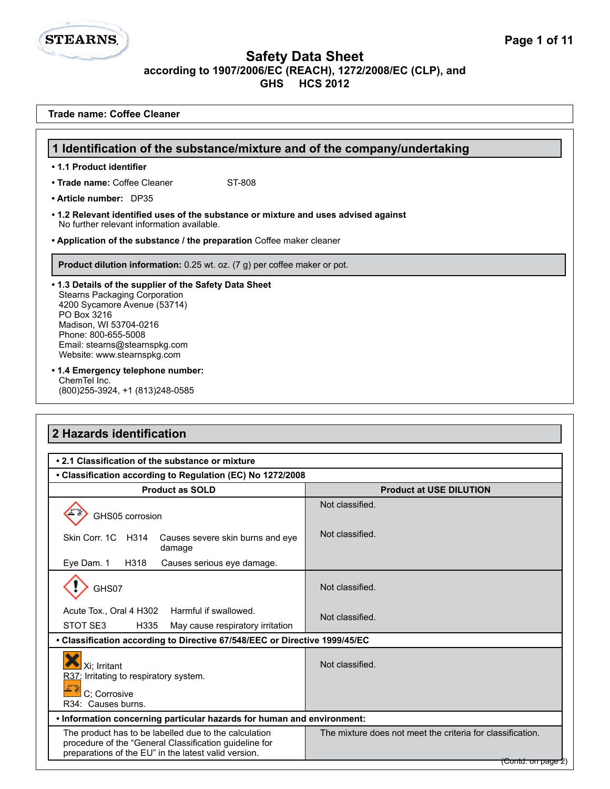**1 Identification of the substance/mixture and of the company/undertaking**

**Trade name: Coffee Cleaner**

• Trade name: Coffee Cleaner ST-808

**• 1.1 Product identifier**

**STEARNS.** 

**• Article number:** DP35

| Product dilution information: 0.25 wt. oz. (7 g) per coffee maker or pot.                                                                                                                                                                                                                           |                                                            |  |
|-----------------------------------------------------------------------------------------------------------------------------------------------------------------------------------------------------------------------------------------------------------------------------------------------------|------------------------------------------------------------|--|
| • 1.3 Details of the supplier of the Safety Data Sheet<br><b>Stearns Packaging Corporation</b><br>4200 Sycamore Avenue (53714)<br>PO Box 3216<br>Madison, WI 53704-0216<br>Phone: 800-655-5008<br>Email: stearns@stearnspkg.com<br>Website: www.stearnspkg.com<br>• 1.4 Emergency telephone number: |                                                            |  |
| ChemTel Inc.<br>(800) 255-3924, +1 (813) 248-0585                                                                                                                                                                                                                                                   |                                                            |  |
|                                                                                                                                                                                                                                                                                                     |                                                            |  |
| 2 Hazards identification                                                                                                                                                                                                                                                                            |                                                            |  |
| • 2.1 Classification of the substance or mixture                                                                                                                                                                                                                                                    |                                                            |  |
| • Classification according to Regulation (EC) No 1272/2008                                                                                                                                                                                                                                          |                                                            |  |
| <b>Product as SOLD</b>                                                                                                                                                                                                                                                                              | <b>Product at USE DILUTION</b>                             |  |
| GHS05 corrosion                                                                                                                                                                                                                                                                                     | Not classified.                                            |  |
| Skin Corr. 1C H314<br>Causes severe skin burns and eye<br>damage                                                                                                                                                                                                                                    | Not classified.                                            |  |
| Eye Dam. 1<br>H318<br>Causes serious eye damage.                                                                                                                                                                                                                                                    |                                                            |  |
| GHS07                                                                                                                                                                                                                                                                                               | Not classified.                                            |  |
| Acute Tox., Oral 4 H302<br>Harmful if swallowed.<br>STOT SE3<br>H335<br>May cause respiratory irritation                                                                                                                                                                                            | Not classified.                                            |  |
| • Classification according to Directive 67/548/EEC or Directive 1999/45/EC                                                                                                                                                                                                                          |                                                            |  |
| $\bullet$<br>Xi; Irritant<br>R37: Irritating to respiratory system.                                                                                                                                                                                                                                 | Not classified.                                            |  |
| C; Corrosive<br>R34: Causes burns.                                                                                                                                                                                                                                                                  |                                                            |  |
| . Information concerning particular hazards for human and environment:                                                                                                                                                                                                                              |                                                            |  |
| The product has to be labelled due to the calculation                                                                                                                                                                                                                                               | The mixture does not meet the criteria for classification. |  |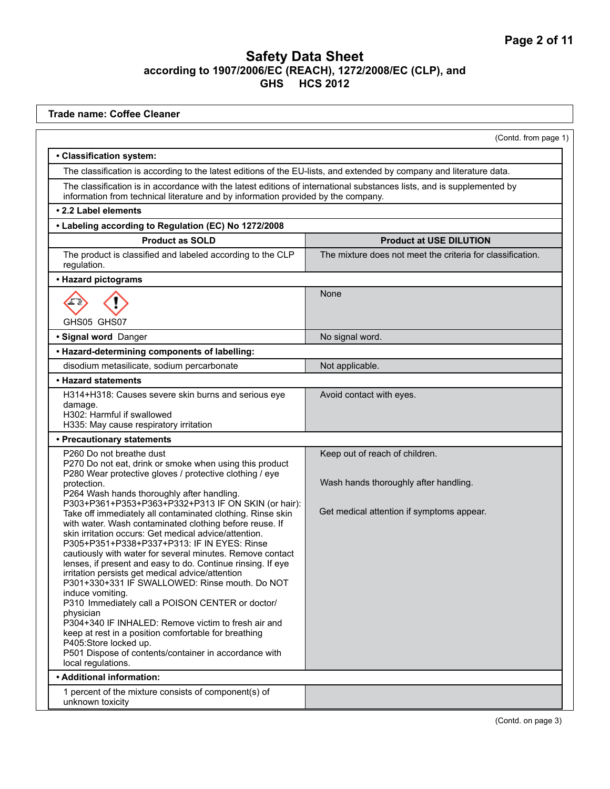| <b>Trade name: Coffee Cleaner</b>                                                                                                                                                                                                                                                                                                                                                                                                                                                                                                                                                                                                                                                                                                                                                                                                  |                                                            |  |  |  |
|------------------------------------------------------------------------------------------------------------------------------------------------------------------------------------------------------------------------------------------------------------------------------------------------------------------------------------------------------------------------------------------------------------------------------------------------------------------------------------------------------------------------------------------------------------------------------------------------------------------------------------------------------------------------------------------------------------------------------------------------------------------------------------------------------------------------------------|------------------------------------------------------------|--|--|--|
| (Contd. from page 1)                                                                                                                                                                                                                                                                                                                                                                                                                                                                                                                                                                                                                                                                                                                                                                                                               |                                                            |  |  |  |
| · Classification system:                                                                                                                                                                                                                                                                                                                                                                                                                                                                                                                                                                                                                                                                                                                                                                                                           |                                                            |  |  |  |
| The classification is according to the latest editions of the EU-lists, and extended by company and literature data.                                                                                                                                                                                                                                                                                                                                                                                                                                                                                                                                                                                                                                                                                                               |                                                            |  |  |  |
| The classification is in accordance with the latest editions of international substances lists, and is supplemented by<br>information from technical literature and by information provided by the company.                                                                                                                                                                                                                                                                                                                                                                                                                                                                                                                                                                                                                        |                                                            |  |  |  |
| • 2.2 Label elements                                                                                                                                                                                                                                                                                                                                                                                                                                                                                                                                                                                                                                                                                                                                                                                                               |                                                            |  |  |  |
| • Labeling according to Regulation (EC) No 1272/2008                                                                                                                                                                                                                                                                                                                                                                                                                                                                                                                                                                                                                                                                                                                                                                               |                                                            |  |  |  |
| <b>Product as SOLD</b>                                                                                                                                                                                                                                                                                                                                                                                                                                                                                                                                                                                                                                                                                                                                                                                                             | <b>Product at USE DILUTION</b>                             |  |  |  |
| The product is classified and labeled according to the CLP<br>regulation.                                                                                                                                                                                                                                                                                                                                                                                                                                                                                                                                                                                                                                                                                                                                                          | The mixture does not meet the criteria for classification. |  |  |  |
| • Hazard pictograms                                                                                                                                                                                                                                                                                                                                                                                                                                                                                                                                                                                                                                                                                                                                                                                                                |                                                            |  |  |  |
| GHS05 GHS07                                                                                                                                                                                                                                                                                                                                                                                                                                                                                                                                                                                                                                                                                                                                                                                                                        | None                                                       |  |  |  |
| · Signal word Danger                                                                                                                                                                                                                                                                                                                                                                                                                                                                                                                                                                                                                                                                                                                                                                                                               | No signal word.                                            |  |  |  |
| • Hazard-determining components of labelling:                                                                                                                                                                                                                                                                                                                                                                                                                                                                                                                                                                                                                                                                                                                                                                                      |                                                            |  |  |  |
| disodium metasilicate, sodium percarbonate                                                                                                                                                                                                                                                                                                                                                                                                                                                                                                                                                                                                                                                                                                                                                                                         | Not applicable.                                            |  |  |  |
| • Hazard statements                                                                                                                                                                                                                                                                                                                                                                                                                                                                                                                                                                                                                                                                                                                                                                                                                |                                                            |  |  |  |
| H314+H318: Causes severe skin burns and serious eye<br>damage.<br>H302: Harmful if swallowed<br>H335: May cause respiratory irritation                                                                                                                                                                                                                                                                                                                                                                                                                                                                                                                                                                                                                                                                                             | Avoid contact with eyes.                                   |  |  |  |
| • Precautionary statements                                                                                                                                                                                                                                                                                                                                                                                                                                                                                                                                                                                                                                                                                                                                                                                                         |                                                            |  |  |  |
| P260 Do not breathe dust<br>P270 Do not eat, drink or smoke when using this product<br>P280 Wear protective gloves / protective clothing / eye                                                                                                                                                                                                                                                                                                                                                                                                                                                                                                                                                                                                                                                                                     | Keep out of reach of children.                             |  |  |  |
| protection.<br>P264 Wash hands thoroughly after handling.                                                                                                                                                                                                                                                                                                                                                                                                                                                                                                                                                                                                                                                                                                                                                                          | Wash hands thoroughly after handling.                      |  |  |  |
| P303+P361+P353+P363+P332+P313 IF ON SKIN (or hair):<br>Take off immediately all contaminated clothing. Rinse skin<br>with water. Wash contaminated clothing before reuse. If<br>skin irritation occurs: Get medical advice/attention.<br>P305+P351+P338+P337+P313: IF IN EYES: Rinse<br>cautiously with water for several minutes. Remove contact<br>lenses, if present and easy to do. Continue rinsing. If eye<br>irritation persists get medical advice/attention<br>P301+330+331 IF SWALLOWED: Rinse mouth. Do NOT<br>induce vomiting.<br>P310 Immediately call a POISON CENTER or doctor/<br>physician<br>P304+340 IF INHALED: Remove victim to fresh air and<br>keep at rest in a position comfortable for breathing<br>P405:Store locked up.<br>P501 Dispose of contents/container in accordance with<br>local regulations. | Get medical attention if symptoms appear.                  |  |  |  |
| • Additional information:                                                                                                                                                                                                                                                                                                                                                                                                                                                                                                                                                                                                                                                                                                                                                                                                          |                                                            |  |  |  |
| 1 percent of the mixture consists of component(s) of<br>unknown toxicity                                                                                                                                                                                                                                                                                                                                                                                                                                                                                                                                                                                                                                                                                                                                                           |                                                            |  |  |  |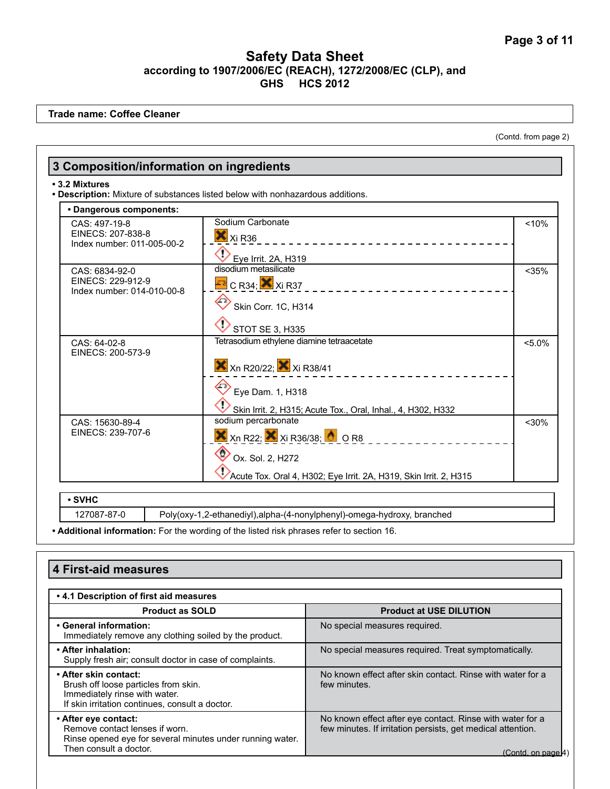**Trade name: Coffee Cleaner**

(Contd. from page 2)

|                                                                  | . Description: Mixture of substances listed below with nonhazardous additions.                  |           |
|------------------------------------------------------------------|-------------------------------------------------------------------------------------------------|-----------|
| • Dangerous components:                                          |                                                                                                 |           |
| CAS: 497-19-8<br>EINECS: 207-838-8<br>Index number: 011-005-00-2 | Sodium Carbonate<br>$X_{Xi}R36$<br>_____________________                                        | < 10%     |
|                                                                  | Eye Irrit. 2A, H319                                                                             |           |
| CAS: 6834-92-0<br>EINECS: 229-912-9                              | disodium metasilicate<br>$E$ <sup>2</sup> C R34; $\times$ Xi R37                                | $<$ 35%   |
| Index number: 014-010-00-8                                       | Skin Corr. 1C, H314                                                                             |           |
|                                                                  | <b>STOT SE 3, H335</b>                                                                          |           |
| CAS: 64-02-8<br>EINECS: 200-573-9                                | Tetrasodium ethylene diamine tetraacetate                                                       | $< 5.0\%$ |
|                                                                  | $\mathsf{X}$ Xn R20/22; $\mathsf{X}$ Xi R38/41                                                  |           |
|                                                                  | Eye Dam. 1, H318                                                                                |           |
| CAS: 15630-89-4                                                  | Skin Irrit. 2, H315; Acute Tox., Oral, Inhal., 4, H302, H332<br>sodium percarbonate             | $<$ 30%   |
| EINECS: 239-707-6                                                | $\overline{\mathsf{X}}$ Xn R22; $\overline{\mathsf{X}}$ Xi R36/38; $\overline{\mathsf{A}}$ O R8 |           |
|                                                                  | Ox. Sol. 2, H272                                                                                |           |
|                                                                  | Acute Tox. Oral 4, H302; Eye Irrit. 2A, H319, Skin Irrit. 2, H315                               |           |

**• Additional information:** For the wording of the listed risk phrases refer to section 16.

| 4 First-aid measures                                                                                                                              |                                                                                                                                               |  |
|---------------------------------------------------------------------------------------------------------------------------------------------------|-----------------------------------------------------------------------------------------------------------------------------------------------|--|
| .4.1 Description of first aid measures                                                                                                            |                                                                                                                                               |  |
| <b>Product as SOLD</b>                                                                                                                            | <b>Product at USE DILUTION</b>                                                                                                                |  |
| • General information:<br>Immediately remove any clothing soiled by the product.                                                                  | No special measures required.                                                                                                                 |  |
| • After inhalation:<br>Supply fresh air; consult doctor in case of complaints.                                                                    | No special measures required. Treat symptomatically.                                                                                          |  |
| • After skin contact:<br>Brush off loose particles from skin.<br>Immediately rinse with water.<br>If skin irritation continues, consult a doctor. | No known effect after skin contact. Rinse with water for a<br>few minutes.                                                                    |  |
| • After eye contact:<br>Remove contact lenses if worn.<br>Rinse opened eve for several minutes under running water.<br>Then consult a doctor.     | No known effect after eye contact. Rinse with water for a<br>few minutes. If irritation persists, get medical attention.<br>(Contd. on page K |  |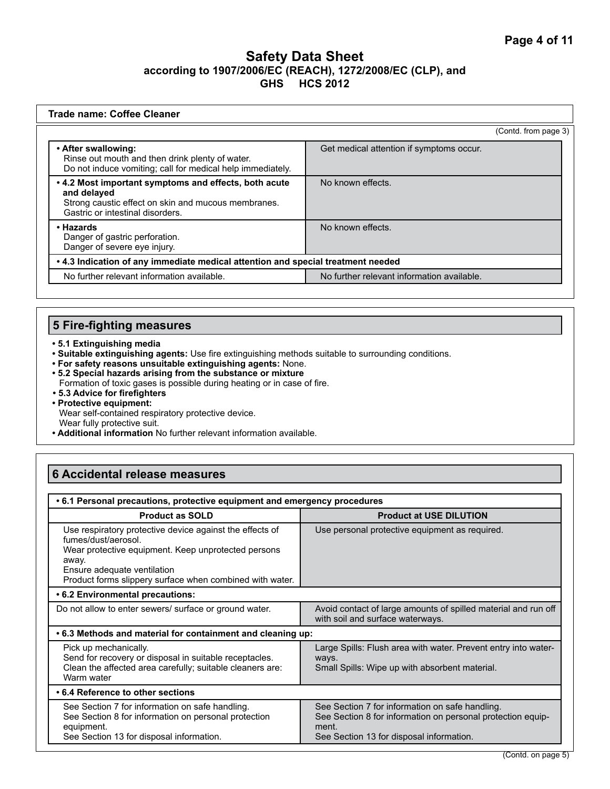| Trade name: Coffee Cleaner                                                                                                                                      |                                            |  |
|-----------------------------------------------------------------------------------------------------------------------------------------------------------------|--------------------------------------------|--|
|                                                                                                                                                                 | (Contd. from page 3)                       |  |
| • After swallowing:<br>Rinse out mouth and then drink plenty of water.<br>Do not induce vomiting; call for medical help immediately.                            | Get medical attention if symptoms occur.   |  |
| • 4.2 Most important symptoms and effects, both acute<br>and delayed<br>Strong caustic effect on skin and mucous membranes.<br>Gastric or intestinal disorders. | No known effects.                          |  |
| • Hazards<br>Danger of gastric perforation.<br>Danger of severe eye injury.                                                                                     | No known effects.                          |  |
| • 4.3 Indication of any immediate medical attention and special treatment needed                                                                                |                                            |  |
| No further relevant information available.                                                                                                                      | No further relevant information available. |  |

# **5 Fire-fighting measures**

- **5.1 Extinguishing media**
- **Suitable extinguishing agents:** Use fire extinguishing methods suitable to surrounding conditions.
- **For safety reasons unsuitable extinguishing agents:** None.
- **5.2 Special hazards arising from the substance or mixture**  Formation of toxic gases is possible during heating or in case of fire.
- **5.3 Advice for firefighters**
- **Protective equipment:** Wear self-contained respiratory protective device.
- Wear fully protective suit.
- **Additional information** No further relevant information available.

# **6 Accidental release measures**

| • 6.1 Personal precautions, protective equipment and emergency procedures                                                                                                                                                                  |                                                                                                                                                                     |  |
|--------------------------------------------------------------------------------------------------------------------------------------------------------------------------------------------------------------------------------------------|---------------------------------------------------------------------------------------------------------------------------------------------------------------------|--|
| <b>Product as SOLD</b>                                                                                                                                                                                                                     | <b>Product at USE DILUTION</b>                                                                                                                                      |  |
| Use respiratory protective device against the effects of<br>fumes/dust/aerosol.<br>Wear protective equipment. Keep unprotected persons<br>away.<br>Ensure adequate ventilation<br>Product forms slippery surface when combined with water. | Use personal protective equipment as required.                                                                                                                      |  |
| • 6.2 Environmental precautions:                                                                                                                                                                                                           |                                                                                                                                                                     |  |
| Do not allow to enter sewers/ surface or ground water.                                                                                                                                                                                     | Avoid contact of large amounts of spilled material and run off<br>with soil and surface waterways.                                                                  |  |
| .6.3 Methods and material for containment and cleaning up:                                                                                                                                                                                 |                                                                                                                                                                     |  |
| Pick up mechanically.<br>Send for recovery or disposal in suitable receptacles.<br>Clean the affected area carefully; suitable cleaners are:<br>Warm water                                                                                 | Large Spills: Flush area with water. Prevent entry into water-<br>ways.<br>Small Spills: Wipe up with absorbent material.                                           |  |
| • 6.4 Reference to other sections                                                                                                                                                                                                          |                                                                                                                                                                     |  |
| See Section 7 for information on safe handling.<br>See Section 8 for information on personal protection<br>equipment.<br>See Section 13 for disposal information.                                                                          | See Section 7 for information on safe handling.<br>See Section 8 for information on personal protection equip-<br>ment.<br>See Section 13 for disposal information. |  |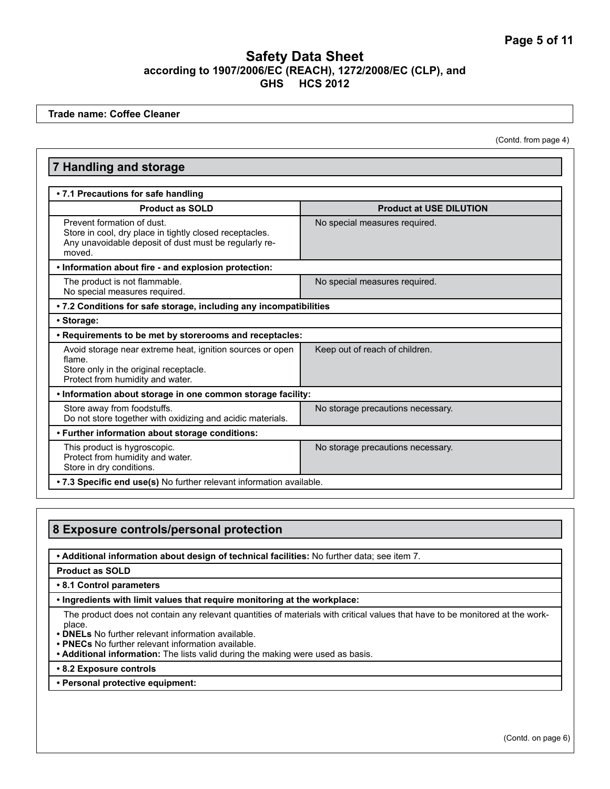**Trade name: Coffee Cleaner**

(Contd. from page 4)

| <b>Product at USE DILUTION</b>                                       |  |  |  |
|----------------------------------------------------------------------|--|--|--|
|                                                                      |  |  |  |
|                                                                      |  |  |  |
|                                                                      |  |  |  |
| No special measures required.                                        |  |  |  |
|                                                                      |  |  |  |
| No special measures required.                                        |  |  |  |
| . 7.2 Conditions for safe storage, including any incompatibilities   |  |  |  |
| • Storage:                                                           |  |  |  |
| • Requirements to be met by storerooms and receptacles:              |  |  |  |
| Keep out of reach of children.                                       |  |  |  |
| . Information about storage in one common storage facility:          |  |  |  |
| No storage precautions necessary.                                    |  |  |  |
| • Further information about storage conditions:                      |  |  |  |
| No storage precautions necessary.                                    |  |  |  |
| . 7.3 Specific end use(s) No further relevant information available. |  |  |  |
|                                                                      |  |  |  |

# **8 Exposure controls/personal protection**

**• Additional information about design of technical facilities:** No further data; see item 7.

#### **Product as SOLD**

#### **• 8.1 Control parameters**

#### **• Ingredients with limit values that require monitoring at the workplace:**

The product does not contain any relevant quantities of materials with critical values that have to be monitored at the workplace.

- **DNELs** No further relevant information available.
- **PNECs** No further relevant information available.
- **Additional information:** The lists valid during the making were used as basis.
- **8.2 Exposure controls**
- **Personal protective equipment:**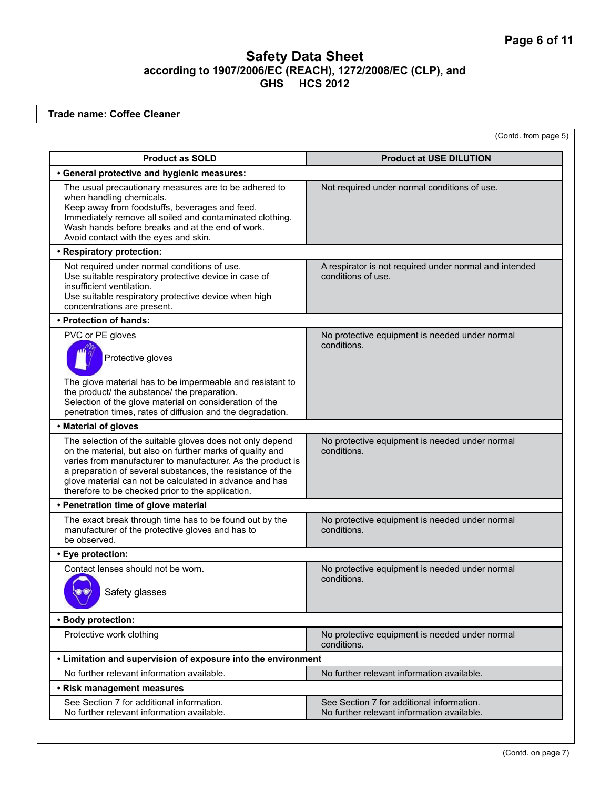**Trade name: Coffee Cleaner** (Contd. from page 5) **Product as SOLD Product at USE DILUTION • General protective and hygienic measures:**  The usual precautionary measures are to be adhered to when handling chemicals. Keep away from foodstuffs, beverages and feed. Immediately remove all soiled and contaminated clothing. Wash hands before breaks and at the end of work. Avoid contact with the eyes and skin. Not required under normal conditions of use. **• Respiratory protection:**  Not required under normal conditions of use. Use suitable respiratory protective device in case of insufficient ventilation. Use suitable respiratory protective device when high concentrations are present. A respirator is not required under normal and intended conditions of use. **• Protection of hands:**  PVC or PE gloves Protective gloves The glove material has to be impermeable and resistant to the product/ the substance/ the preparation. Selection of the glove material on consideration of the penetration times, rates of diffusion and the degradation. No protective equipment is needed under normal conditions. **• Material of gloves** The selection of the suitable gloves does not only depend on the material, but also on further marks of quality and varies from manufacturer to manufacturer. As the product is a preparation of several substances, the resistance of the glove material can not be calculated in advance and has therefore to be checked prior to the application. No protective equipment is needed under normal conditions. **• Penetration time of glove material** The exact break through time has to be found out by the manufacturer of the protective gloves and has to be observed. No protective equipment is needed under normal conditions. **• Eye protection:**  Contact lenses should not be worn. Safety glasses No protective equipment is needed under normal conditions. **• Body protection:**  Protective work clothing No protective equipment is needed under normal conditions. **• Limitation and supervision of exposure into the environment** No further relevant information available. No further relevant information available. **• Risk management measures** See Section 7 for additional information. No further relevant information available. See Section 7 for additional information. No further relevant information available.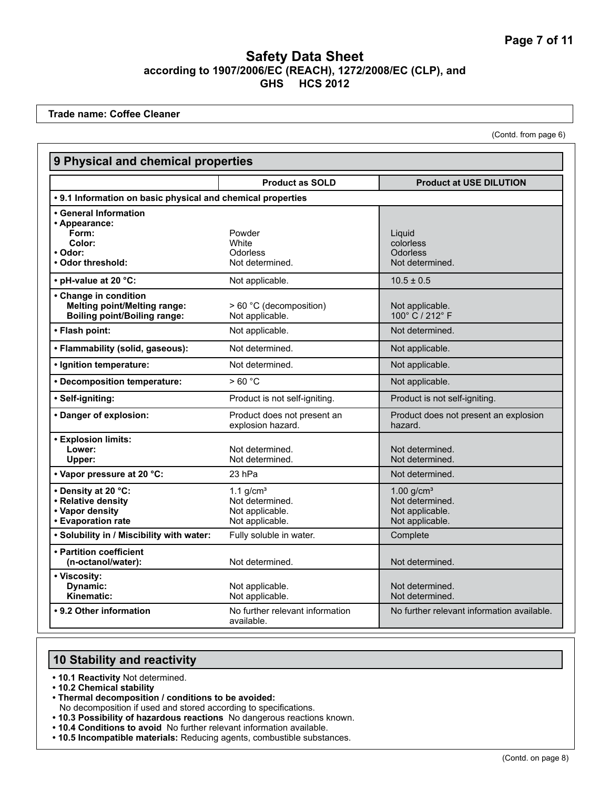**Trade name: Coffee Cleaner**

(Contd. from page 6)

| 9 Physical and chemical properties                                                                  |                                                                      |                                                                                   |  |  |
|-----------------------------------------------------------------------------------------------------|----------------------------------------------------------------------|-----------------------------------------------------------------------------------|--|--|
|                                                                                                     | <b>Product as SOLD</b>                                               | <b>Product at USE DILUTION</b>                                                    |  |  |
| • 9.1 Information on basic physical and chemical properties                                         |                                                                      |                                                                                   |  |  |
| • General Information<br>• Appearance:<br>Form:<br>Color:<br>• Odor:<br>• Odor threshold:           | Powder<br>White<br>Odorless<br>Not determined.                       | Liguid<br>colorless<br><b>Odorless</b><br>Not determined.                         |  |  |
| • pH-value at 20 °C:                                                                                | Not applicable.                                                      | $10.5 \pm 0.5$                                                                    |  |  |
| • Change in condition<br><b>Melting point/Melting range:</b><br><b>Boiling point/Boiling range:</b> | > 60 °C (decomposition)<br>Not applicable.                           | Not applicable.<br>100° C / 212° F                                                |  |  |
| • Flash point:                                                                                      | Not applicable.                                                      | Not determined.                                                                   |  |  |
| • Flammability (solid, gaseous):                                                                    | Not determined.                                                      | Not applicable.                                                                   |  |  |
| · Ignition temperature:                                                                             | Not determined.                                                      | Not applicable.                                                                   |  |  |
| • Decomposition temperature:                                                                        | >60 °C                                                               | Not applicable.                                                                   |  |  |
| • Self-igniting:                                                                                    | Product is not self-igniting.                                        | Product is not self-igniting.                                                     |  |  |
| • Danger of explosion:                                                                              | Product does not present an<br>explosion hazard.                     | Product does not present an explosion<br>hazard.                                  |  |  |
| • Explosion limits:<br>Lower:<br>Upper:                                                             | Not determined.<br>Not determined.                                   | Not determined.<br>Not determined.                                                |  |  |
| • Vapor pressure at 20 °C:                                                                          | 23 hPa                                                               | Not determined.                                                                   |  |  |
| • Density at 20 °C:<br>• Relative density<br>• Vapor density<br>• Evaporation rate                  | 1.1 $q/cm3$<br>Not determined.<br>Not applicable.<br>Not applicable. | $1.00$ g/cm <sup>3</sup><br>Not determined.<br>Not applicable.<br>Not applicable. |  |  |
| . Solubility in / Miscibility with water:                                                           | Fully soluble in water.                                              | Complete                                                                          |  |  |
| • Partition coefficient<br>(n-octanol/water):                                                       | Not determined.                                                      | Not determined.                                                                   |  |  |
| • Viscosity:<br>Dynamic:<br>Kinematic:                                                              | Not applicable.<br>Not applicable.                                   | Not determined.<br>Not determined.                                                |  |  |
| • 9.2 Other information                                                                             | No further relevant information<br>available.                        | No further relevant information available.                                        |  |  |

# **10 Stability and reactivity**

- **10.1 Reactivity** Not determined.
- **10.2 Chemical stability**
- **Thermal decomposition / conditions to be avoided:**
- No decomposition if used and stored according to specifications.
- **10.3 Possibility of hazardous reactions** No dangerous reactions known.
- **10.4 Conditions to avoid** No further relevant information available.
- **10.5 Incompatible materials:** Reducing agents, combustible substances.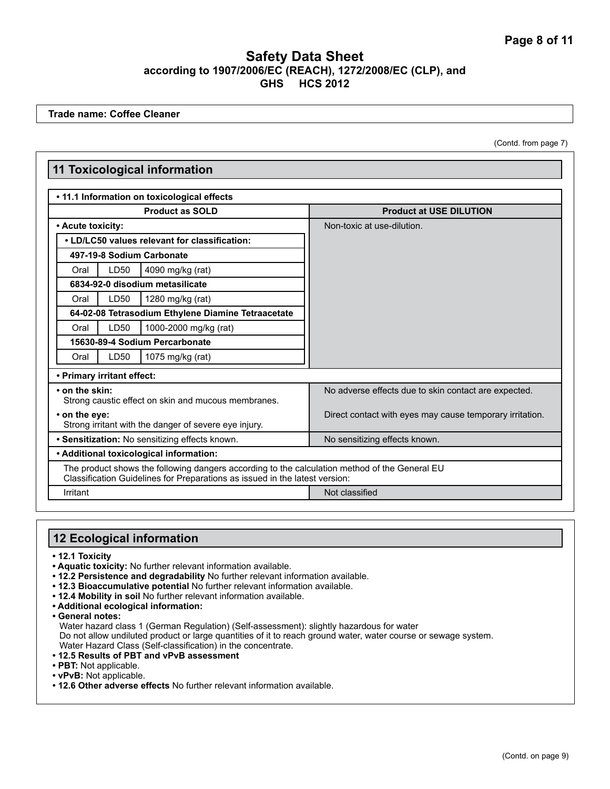**Trade name: Coffee Cleaner**

(Contd. from page 7)

|                                                                        |                                                | <b>11 Toxicological information</b>                                                                                                                                          |                                                          |
|------------------------------------------------------------------------|------------------------------------------------|------------------------------------------------------------------------------------------------------------------------------------------------------------------------------|----------------------------------------------------------|
|                                                                        |                                                | • 11.1 Information on toxicological effects                                                                                                                                  |                                                          |
| <b>Product as SOLD</b>                                                 |                                                |                                                                                                                                                                              | <b>Product at USE DILUTION</b>                           |
|                                                                        | • Acute toxicity:                              |                                                                                                                                                                              | Non-toxic at use-dilution.                               |
|                                                                        | • LD/LC50 values relevant for classification:  |                                                                                                                                                                              |                                                          |
|                                                                        |                                                | 497-19-8 Sodium Carbonate                                                                                                                                                    |                                                          |
| Oral                                                                   | LD50                                           | 4090 mg/kg (rat)                                                                                                                                                             |                                                          |
|                                                                        |                                                | 6834-92-0 disodium metasilicate                                                                                                                                              |                                                          |
| Oral                                                                   | LD50                                           | 1280 mg/kg (rat)                                                                                                                                                             |                                                          |
|                                                                        |                                                | 64-02-08 Tetrasodium Ethylene Diamine Tetraacetate                                                                                                                           |                                                          |
| Oral                                                                   | LD50                                           | 1000-2000 mg/kg (rat)                                                                                                                                                        |                                                          |
|                                                                        | 15630-89-4 Sodium Percarbonate                 |                                                                                                                                                                              |                                                          |
| Oral                                                                   | LD50                                           | 1075 mg/kg (rat)                                                                                                                                                             |                                                          |
|                                                                        | • Primary irritant effect:                     |                                                                                                                                                                              |                                                          |
| • on the skin:<br>Strong caustic effect on skin and mucous membranes.  |                                                |                                                                                                                                                                              | No adverse effects due to skin contact are expected.     |
| • on the eye:<br>Strong irritant with the danger of severe eye injury. |                                                |                                                                                                                                                                              | Direct contact with eyes may cause temporary irritation. |
|                                                                        | • Sensitization: No sensitizing effects known. |                                                                                                                                                                              | No sensitizing effects known.                            |
|                                                                        |                                                | • Additional toxicological information:                                                                                                                                      |                                                          |
|                                                                        |                                                | The product shows the following dangers according to the calculation method of the General EU<br>Classification Guidelines for Preparations as issued in the latest version: |                                                          |
| Irritant                                                               |                                                |                                                                                                                                                                              | Not classified                                           |

# **12 Ecological information**

- **12.1 Toxicity**
- **Aquatic toxicity:** No further relevant information available.
- **12.2 Persistence and degradability** No further relevant information available.
- **12.3 Bioaccumulative potential** No further relevant information available.
- **12.4 Mobility in soil** No further relevant information available.
- **Additional ecological information:**

**• General notes:** Water hazard class 1 (German Regulation) (Self-assessment): slightly hazardous for water Do not allow undiluted product or large quantities of it to reach ground water, water course or sewage system. Water Hazard Class (Self-classification) in the concentrate.

- **12.5 Results of PBT and vPvB assessment**
- **PBT:** Not applicable.
- **vPvB:** Not applicable.
- **12.6 Other adverse effects** No further relevant information available.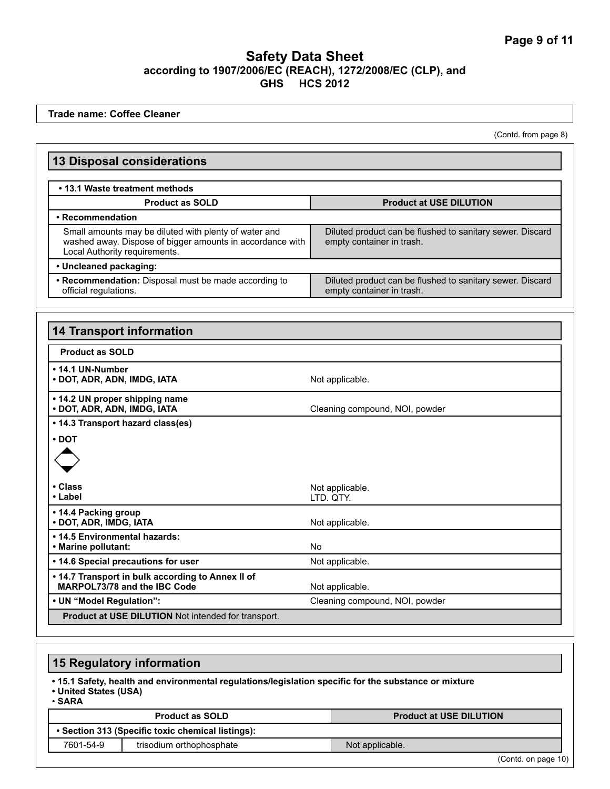**Trade name: Coffee Cleaner**

(Contd. from page 8)

| <b>13 Disposal considerations</b>                                                                                                                   |                                                                                        |  |
|-----------------------------------------------------------------------------------------------------------------------------------------------------|----------------------------------------------------------------------------------------|--|
| • 13.1 Waste treatment methods                                                                                                                      |                                                                                        |  |
|                                                                                                                                                     |                                                                                        |  |
| <b>Product as SOLD</b><br>• Recommendation                                                                                                          | <b>Product at USE DILUTION</b>                                                         |  |
| Small amounts may be diluted with plenty of water and<br>washed away. Dispose of bigger amounts in accordance with<br>Local Authority requirements. | Diluted product can be flushed to sanitary sewer. Discard<br>empty container in trash. |  |
| • Uncleaned packaging:                                                                                                                              |                                                                                        |  |
| • Recommendation: Disposal must be made according to<br>official regulations.                                                                       | Diluted product can be flushed to sanitary sewer. Discard<br>empty container in trash. |  |
| <b>14 Transport information</b>                                                                                                                     |                                                                                        |  |
| <b>Product as SOLD</b>                                                                                                                              |                                                                                        |  |
| • 14.1 UN-Number<br>· DOT, ADR, ADN, IMDG, IATA                                                                                                     | Not applicable.                                                                        |  |
| • 14.2 UN proper shipping name<br>• DOT, ADR, ADN, IMDG, IATA                                                                                       | Cleaning compound, NOI, powder                                                         |  |
| • 14.3 Transport hazard class(es)                                                                                                                   |                                                                                        |  |
| • DOT<br>• Class                                                                                                                                    | Not applicable.                                                                        |  |
| • Label                                                                                                                                             | LTD. QTY.                                                                              |  |
| • 14.4 Packing group<br>• DOT, ADR, IMDG, IATA                                                                                                      | Not applicable.                                                                        |  |
| . 14.5 Environmental hazards:<br>• Marine pollutant:                                                                                                | <b>No</b>                                                                              |  |
| • 14.6 Special precautions for user                                                                                                                 | Not applicable.                                                                        |  |
| . 14.7 Transport in bulk according to Annex II of<br>MARPOL73/78 and the IBC Code                                                                   | Not applicable.                                                                        |  |
| • UN "Model Regulation":<br>Cleaning compound, NOI, powder                                                                                          |                                                                                        |  |
| Product at USE DILUTION Not intended for transport.                                                                                                 |                                                                                        |  |
|                                                                                                                                                     |                                                                                        |  |
| <b>15 Regulatory information</b>                                                                                                                    |                                                                                        |  |
| . 15.1 Safety, health and environmental regulations/legislation specific for the substance or mixture<br>• United States (USA)<br>$\cdot$ SARA      |                                                                                        |  |
| <b>Product as SOLD</b>                                                                                                                              | <b>Product at USE DILUTION</b>                                                         |  |
| • Section 313 (Specific toxic chemical listings):                                                                                                   |                                                                                        |  |
| 7601-54-9<br>trisodium orthophosphate                                                                                                               | Not applicable.                                                                        |  |

(Contd. on page 10)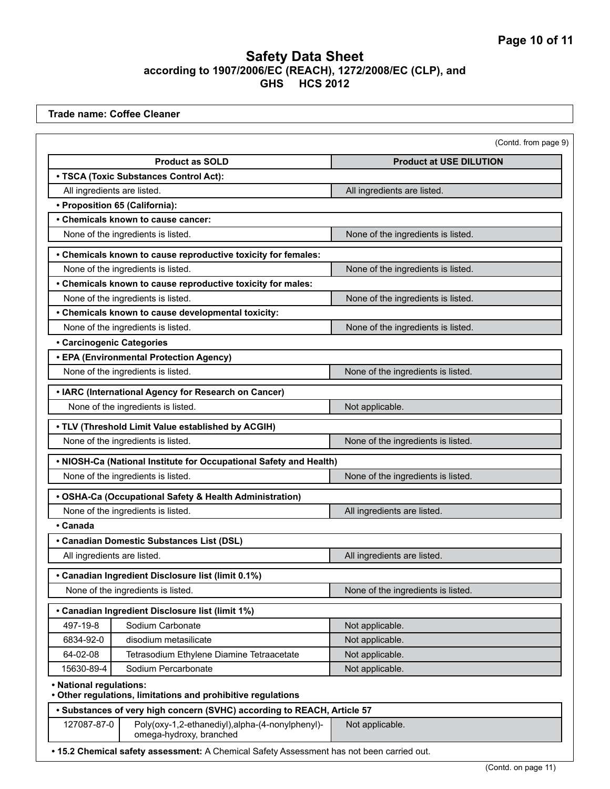**Trade name: Coffee Cleaner**

|                                  |                                                                            | (Contd. from page 9)               |
|----------------------------------|----------------------------------------------------------------------------|------------------------------------|
|                                  | <b>Product as SOLD</b>                                                     | <b>Product at USE DILUTION</b>     |
|                                  | • TSCA (Toxic Substances Control Act):                                     |                                    |
| All ingredients are listed.      |                                                                            | All ingredients are listed.        |
|                                  | • Proposition 65 (California):                                             |                                    |
|                                  | • Chemicals known to cause cancer:                                         |                                    |
|                                  | None of the ingredients is listed.                                         | None of the ingredients is listed. |
|                                  | • Chemicals known to cause reproductive toxicity for females:              |                                    |
|                                  | None of the ingredients is listed.                                         | None of the ingredients is listed. |
|                                  | • Chemicals known to cause reproductive toxicity for males:                |                                    |
|                                  | None of the ingredients is listed.                                         | None of the ingredients is listed. |
|                                  | • Chemicals known to cause developmental toxicity:                         |                                    |
|                                  | None of the ingredients is listed.                                         | None of the ingredients is listed. |
| <b>• Carcinogenic Categories</b> |                                                                            |                                    |
|                                  | • EPA (Environmental Protection Agency)                                    |                                    |
|                                  | None of the ingredients is listed.                                         | None of the ingredients is listed. |
|                                  | • IARC (International Agency for Research on Cancer)                       |                                    |
|                                  | None of the ingredients is listed.                                         | Not applicable.                    |
|                                  | . TLV (Threshold Limit Value established by ACGIH)                         |                                    |
|                                  | None of the ingredients is listed.                                         | None of the ingredients is listed. |
|                                  | . NIOSH-Ca (National Institute for Occupational Safety and Health)         |                                    |
|                                  | None of the ingredients is listed.                                         | None of the ingredients is listed. |
|                                  | • OSHA-Ca (Occupational Safety & Health Administration)                    |                                    |
|                                  | None of the ingredients is listed.                                         | All ingredients are listed.        |
| • Canada                         |                                                                            |                                    |
|                                  | • Canadian Domestic Substances List (DSL)                                  |                                    |
| All ingredients are listed.      |                                                                            | All ingredients are listed.        |
|                                  | Canadian Ingredient Disclosure list (limit 0.1%)                           |                                    |
|                                  | None of the ingredients is listed.                                         | None of the ingredients is listed. |
|                                  | • Canadian Ingredient Disclosure list (limit 1%)                           |                                    |
| 497-19-8                         | Sodium Carbonate                                                           | Not applicable.                    |
| 6834-92-0                        | disodium metasilicate                                                      | Not applicable.                    |
| 64-02-08                         | Tetrasodium Ethylene Diamine Tetraacetate                                  | Not applicable.                    |
| 15630-89-4                       | Sodium Percarbonate                                                        | Not applicable.                    |
| • National regulations:          |                                                                            |                                    |
|                                  | • Other regulations, limitations and prohibitive regulations               |                                    |
|                                  | • Substances of very high concern (SVHC) according to REACH, Article 57    |                                    |
| 127087-87-0                      | Poly(oxy-1,2-ethanediyl),alpha-(4-nonylphenyl)-<br>omega-hydroxy, branched | Not applicable.                    |

(Contd. on page 11)